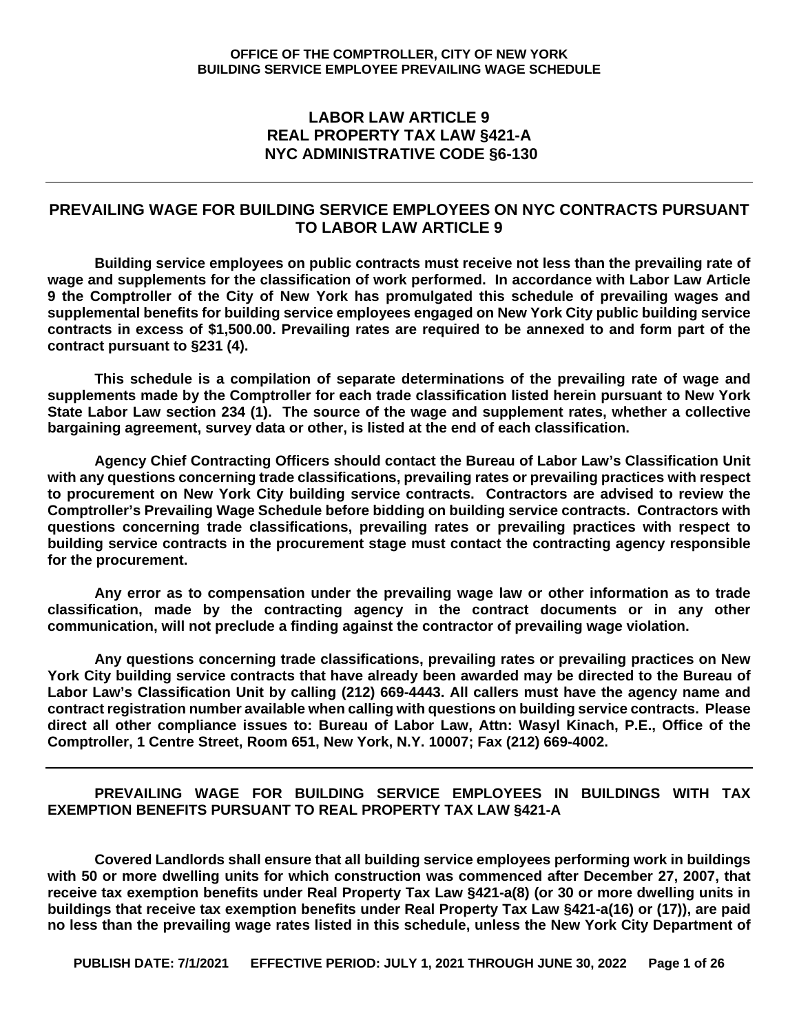#### **LABOR LAW ARTICLE 9 REAL PROPERTY TAX LAW §421-A NYC ADMINISTRATIVE CODE §6-130**

#### **PREVAILING WAGE FOR BUILDING SERVICE EMPLOYEES ON NYC CONTRACTS PURSUANT TO LABOR LAW ARTICLE 9**

**Building service employees on public contracts must receive not less than the prevailing rate of wage and supplements for the classification of work performed. In accordance with Labor Law Article 9 the Comptroller of the City of New York has promulgated this schedule of prevailing wages and supplemental benefits for building service employees engaged on New York City public building service contracts in excess of \$1,500.00. Prevailing rates are required to be annexed to and form part of the contract pursuant to §231 (4).**

**This schedule is a compilation of separate determinations of the prevailing rate of wage and supplements made by the Comptroller for each trade classification listed herein pursuant to New York State Labor Law section 234 (1). The source of the wage and supplement rates, whether a collective bargaining agreement, survey data or other, is listed at the end of each classification.** 

**Agency Chief Contracting Officers should contact the Bureau of Labor Law's Classification Unit with any questions concerning trade classifications, prevailing rates or prevailing practices with respect to procurement on New York City building service contracts. Contractors are advised to review the Comptroller's Prevailing Wage Schedule before bidding on building service contracts. Contractors with questions concerning trade classifications, prevailing rates or prevailing practices with respect to building service contracts in the procurement stage must contact the contracting agency responsible for the procurement.** 

**Any error as to compensation under the prevailing wage law or other information as to trade classification, made by the contracting agency in the contract documents or in any other communication, will not preclude a finding against the contractor of prevailing wage violation.**

**Any questions concerning trade classifications, prevailing rates or prevailing practices on New York City building service contracts that have already been awarded may be directed to the Bureau of Labor Law's Classification Unit by calling (212) 669-4443. All callers must have the agency name and contract registration number available when calling with questions on building service contracts. Please direct all other compliance issues to: Bureau of Labor Law, Attn: Wasyl Kinach, P.E., Office of the Comptroller, 1 Centre Street, Room 651, New York, N.Y. 10007; Fax (212) 669-4002.**

#### **PREVAILING WAGE FOR BUILDING SERVICE EMPLOYEES IN BUILDINGS WITH TAX EXEMPTION BENEFITS PURSUANT TO REAL PROPERTY TAX LAW §421-A**

**Covered Landlords shall ensure that all building service employees performing work in buildings with 50 or more dwelling units for which construction was commenced after December 27, 2007, that receive tax exemption benefits under Real Property Tax Law §421-a(8) (or 30 or more dwelling units in buildings that receive tax exemption benefits under Real Property Tax Law §421-a(16) or (17)), are paid no less than the prevailing wage rates listed in this schedule, unless the New York City Department of**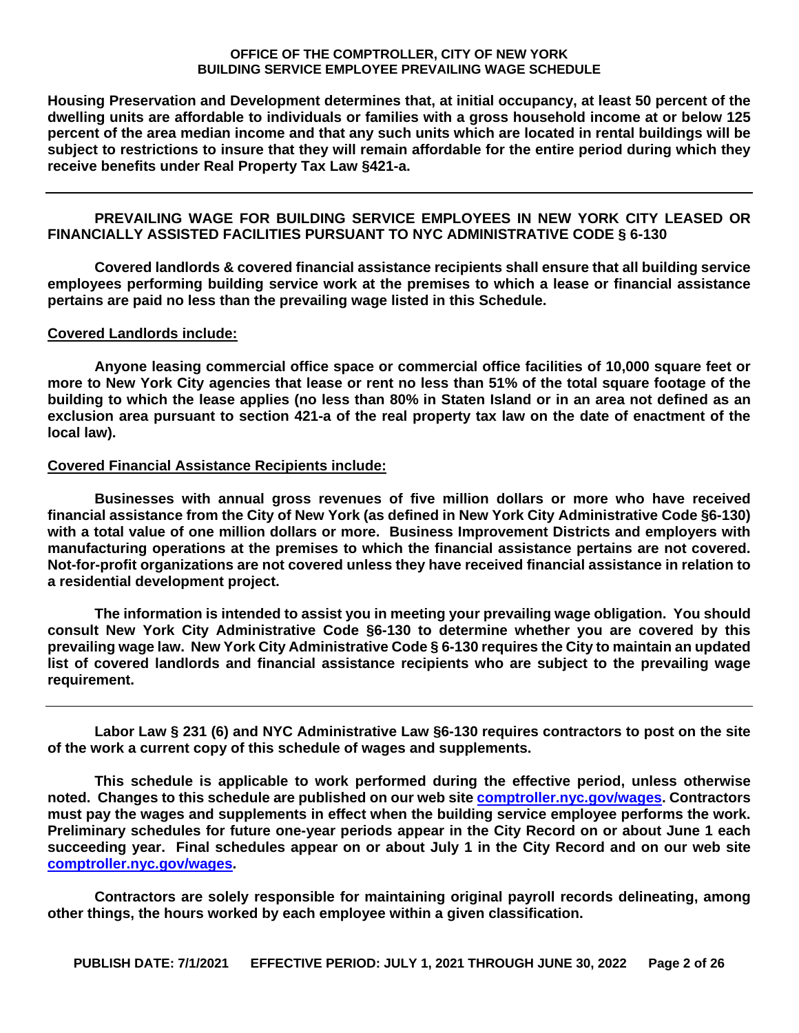**Housing Preservation and Development determines that, at initial occupancy, at least 50 percent of the dwelling units are affordable to individuals or families with a gross household income at or below 125 percent of the area median income and that any such units which are located in rental buildings will be subject to restrictions to insure that they will remain affordable for the entire period during which they receive benefits under Real Property Tax Law §421-a.**

#### **PREVAILING WAGE FOR BUILDING SERVICE EMPLOYEES IN NEW YORK CITY LEASED OR FINANCIALLY ASSISTED FACILITIES PURSUANT TO NYC ADMINISTRATIVE CODE § 6-130**

**Covered landlords & covered financial assistance recipients shall ensure that all building service employees performing building service work at the premises to which a lease or financial assistance pertains are paid no less than the prevailing wage listed in this Schedule.**

#### **Covered Landlords include:**

**Anyone leasing commercial office space or commercial office facilities of 10,000 square feet or more to New York City agencies that lease or rent no less than 51% of the total square footage of the building to which the lease applies (no less than 80% in Staten Island or in an area not defined as an exclusion area pursuant to section 421-a of the real property tax law on the date of enactment of the local law).**

#### **Covered Financial Assistance Recipients include:**

**Businesses with annual gross revenues of five million dollars or more who have received financial assistance from the City of New York (as defined in New York City Administrative Code §6-130) with a total value of one million dollars or more. Business Improvement Districts and employers with manufacturing operations at the premises to which the financial assistance pertains are not covered. Not-for-profit organizations are not covered unless they have received financial assistance in relation to a residential development project.**

**The information is intended to assist you in meeting your prevailing wage obligation. You should consult New York City Administrative Code §6-130 to determine whether you are covered by this prevailing wage law. New York City Administrative Code § 6-130 requires the City to maintain an updated list of covered landlords and financial assistance recipients who are subject to the prevailing wage requirement.**

**Labor Law § 231 (6) and NYC Administrative Law §6-130 requires contractors to post on the site of the work a current copy of this schedule of wages and supplements.** 

**This schedule is applicable to work performed during the effective period, unless otherwise noted. Changes to this schedule are published on our web site [comptroller.nyc.gov/wages.](http://comptroller.nyc.gov/wages) Contractors must pay the wages and supplements in effect when the building service employee performs the work. Preliminary schedules for future one-year periods appear in the City Record on or about June 1 each succeeding year. Final schedules appear on or about July 1 in the City Record and on our web site [comptroller.nyc.gov/wages.](http://comptroller.nyc.gov/wages)**

**Contractors are solely responsible for maintaining original payroll records delineating, among other things, the hours worked by each employee within a given classification.**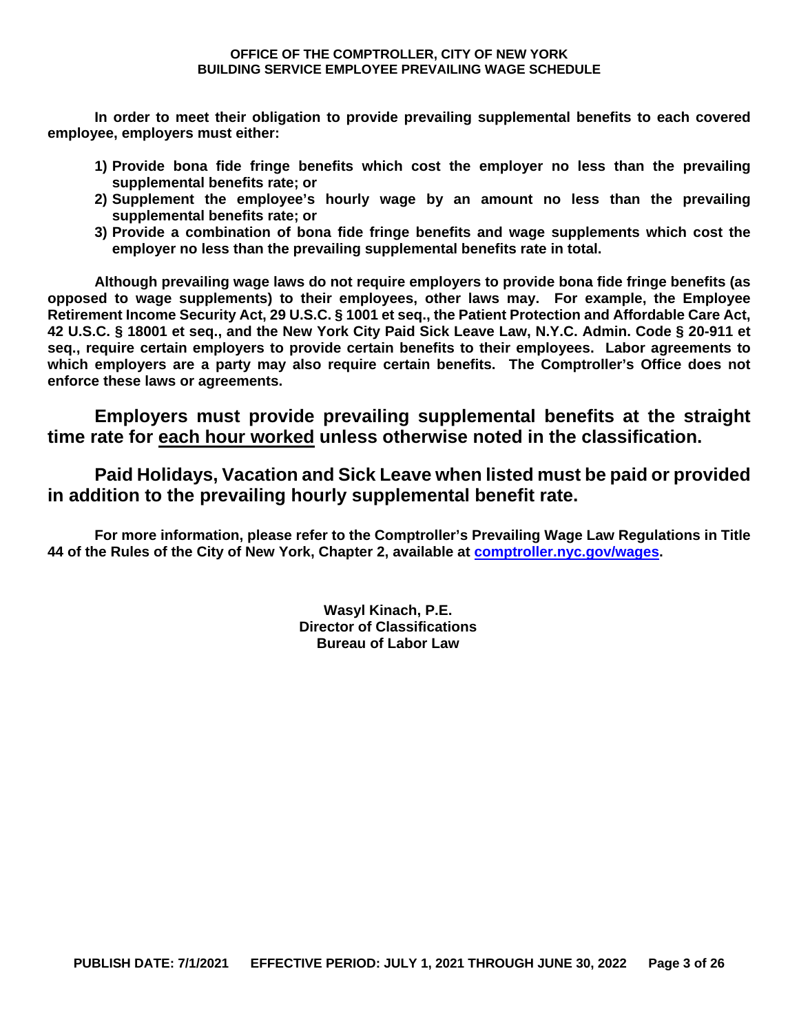**In order to meet their obligation to provide prevailing supplemental benefits to each covered employee, employers must either:**

- **1) Provide bona fide fringe benefits which cost the employer no less than the prevailing supplemental benefits rate; or**
- **2) Supplement the employee's hourly wage by an amount no less than the prevailing supplemental benefits rate; or**
- **3) Provide a combination of bona fide fringe benefits and wage supplements which cost the employer no less than the prevailing supplemental benefits rate in total.**

**Although prevailing wage laws do not require employers to provide bona fide fringe benefits (as opposed to wage supplements) to their employees, other laws may. For example, the Employee Retirement Income Security Act, 29 U.S.C. § 1001 et seq., the Patient Protection and Affordable Care Act, 42 U.S.C. § 18001 et seq., and the New York City Paid Sick Leave Law, N.Y.C. Admin. Code § 20-911 et seq., require certain employers to provide certain benefits to their employees. Labor agreements to which employers are a party may also require certain benefits. The Comptroller's Office does not enforce these laws or agreements.**

**Employers must provide prevailing supplemental benefits at the straight time rate for each hour worked unless otherwise noted in the classification.**

**Paid Holidays, Vacation and Sick Leave when listed must be paid or provided in addition to the prevailing hourly supplemental benefit rate.**

**For more information, please refer to the Comptroller's Prevailing Wage Law Regulations in Title 44 of the Rules of the City of New York, Chapter 2, available at [comptroller.nyc.gov/wages.](http://comptroller.nyc.gov/wages)**

> **Wasyl Kinach, P.E. Director of Classifications Bureau of Labor Law**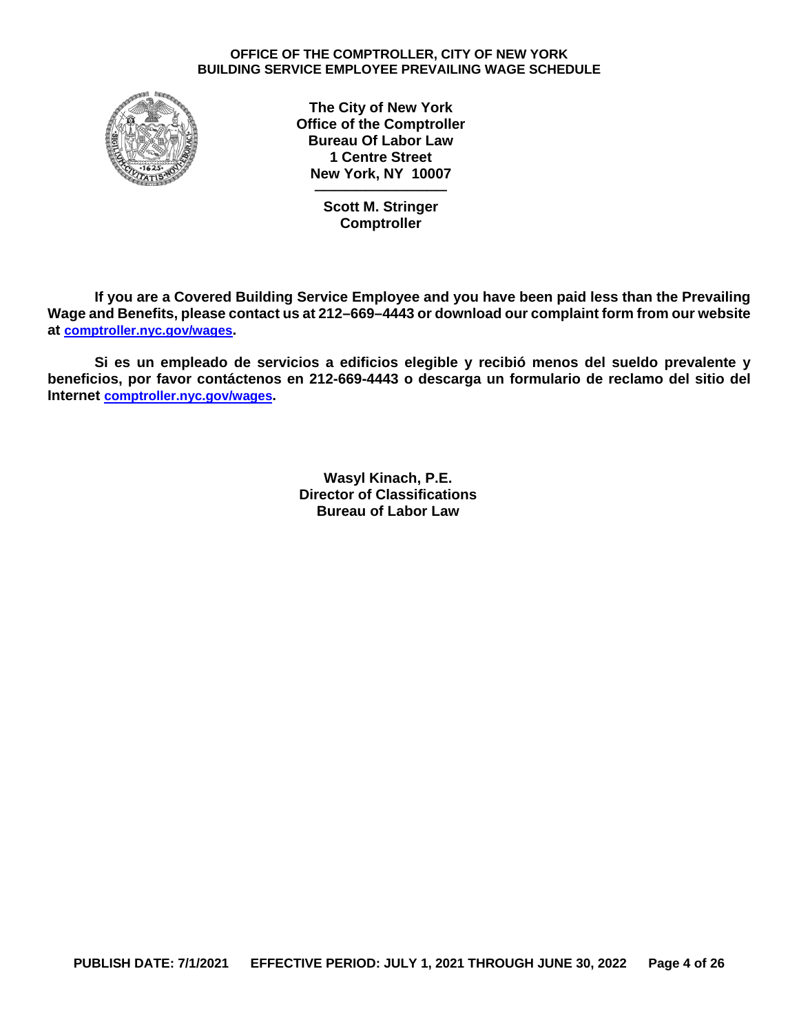

**The City of New York Office of the Comptroller Bureau Of Labor Law 1 Centre Street New York, NY 10007 ─────────────**

**Scott M. Stringer Comptroller**

**If you are a Covered Building Service Employee and you have been paid less than the Prevailing Wage and Benefits, please contact us at 212–669–4443 or download our complaint form from our website at [comptroller.nyc.gov/wages.](http://comptroller.nyc.gov/wages)** 

**Si es un empleado de servicios a edificios elegible y recibió menos del sueldo prevalente y beneficios, por favor contáctenos en 212-669-4443 o descarga un formulario de reclamo del sitio del Internet [comptroller.nyc.gov/wages.](http://comptroller.nyc.gov/wages)**

> **Wasyl Kinach, P.E. Director of Classifications Bureau of Labor Law**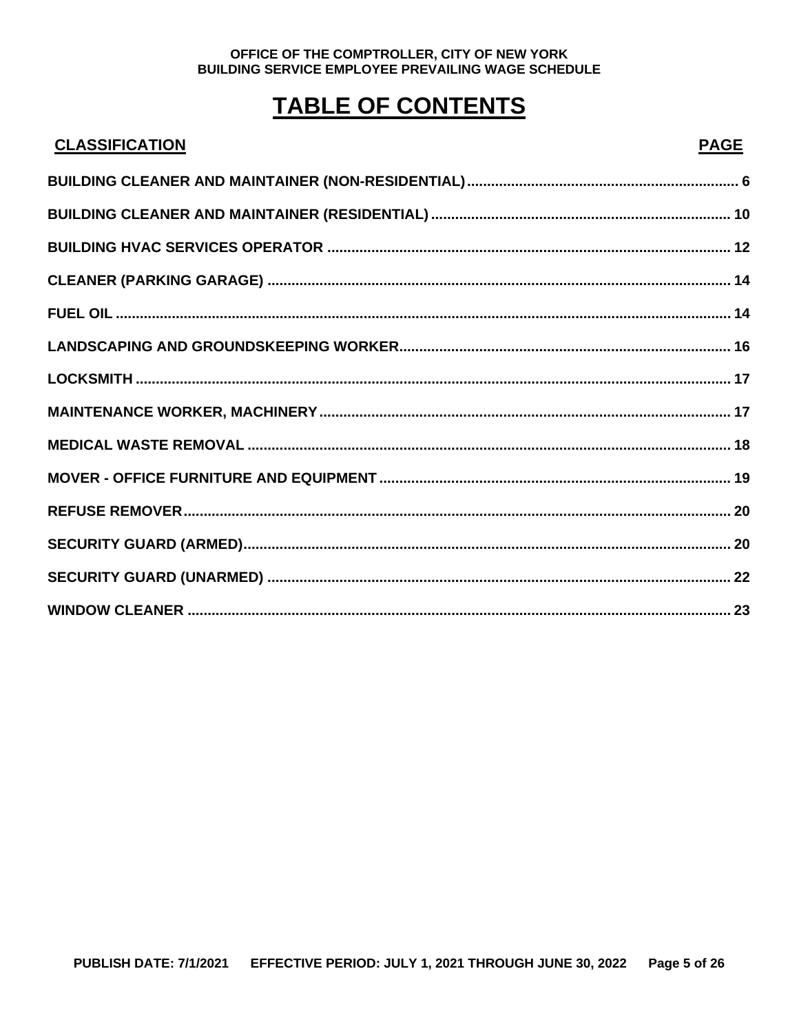# **TABLE OF CONTENTS**

| <b>CLASSIFICATION</b> | <b>PAGE</b> |
|-----------------------|-------------|
|                       |             |
|                       |             |
|                       |             |
|                       |             |
|                       |             |
|                       |             |
|                       |             |
|                       |             |
|                       |             |
|                       |             |
|                       |             |
|                       |             |
|                       |             |
|                       |             |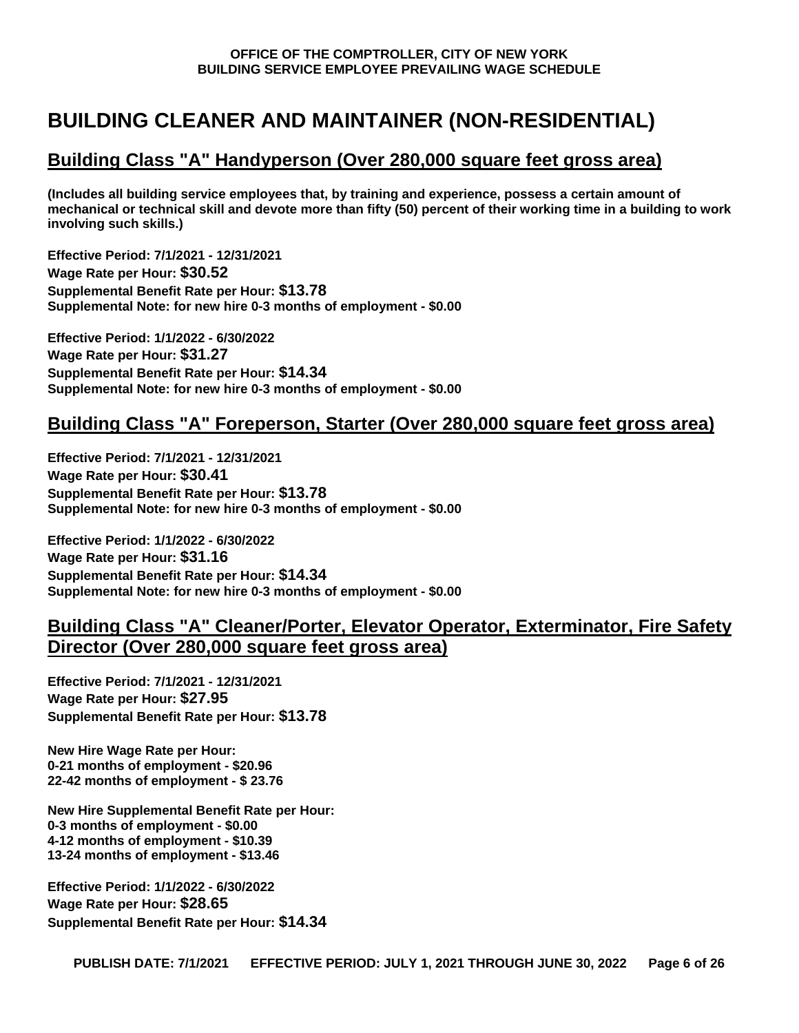# <span id="page-5-0"></span>**BUILDING CLEANER AND MAINTAINER (NON-RESIDENTIAL)**

## **Building Class "A" Handyperson (Over 280,000 square feet gross area)**

**(Includes all building service employees that, by training and experience, possess a certain amount of mechanical or technical skill and devote more than fifty (50) percent of their working time in a building to work involving such skills.)**

**Effective Period: 7/1/2021 - 12/31/2021 Wage Rate per Hour: \$30.52 Supplemental Benefit Rate per Hour: \$13.78 Supplemental Note: for new hire 0-3 months of employment - \$0.00**

**Effective Period: 1/1/2022 - 6/30/2022 Wage Rate per Hour: \$31.27 Supplemental Benefit Rate per Hour: \$14.34 Supplemental Note: for new hire 0-3 months of employment - \$0.00**

## **Building Class "A" Foreperson, Starter (Over 280,000 square feet gross area)**

**Effective Period: 7/1/2021 - 12/31/2021 Wage Rate per Hour: \$30.41 Supplemental Benefit Rate per Hour: \$13.78 Supplemental Note: for new hire 0-3 months of employment - \$0.00**

**Effective Period: 1/1/2022 - 6/30/2022 Wage Rate per Hour: \$31.16 Supplemental Benefit Rate per Hour: \$14.34 Supplemental Note: for new hire 0-3 months of employment - \$0.00**

## **Building Class "A" Cleaner/Porter, Elevator Operator, Exterminator, Fire Safety Director (Over 280,000 square feet gross area)**

**Effective Period: 7/1/2021 - 12/31/2021 Wage Rate per Hour: \$27.95 Supplemental Benefit Rate per Hour: \$13.78**

**New Hire Wage Rate per Hour: 0-21 months of employment - \$20.96 22-42 months of employment - \$ 23.76**

**New Hire Supplemental Benefit Rate per Hour: 0-3 months of employment - \$0.00 4-12 months of employment - \$10.39 13-24 months of employment - \$13.46**

**Effective Period: 1/1/2022 - 6/30/2022 Wage Rate per Hour: \$28.65 Supplemental Benefit Rate per Hour: \$14.34**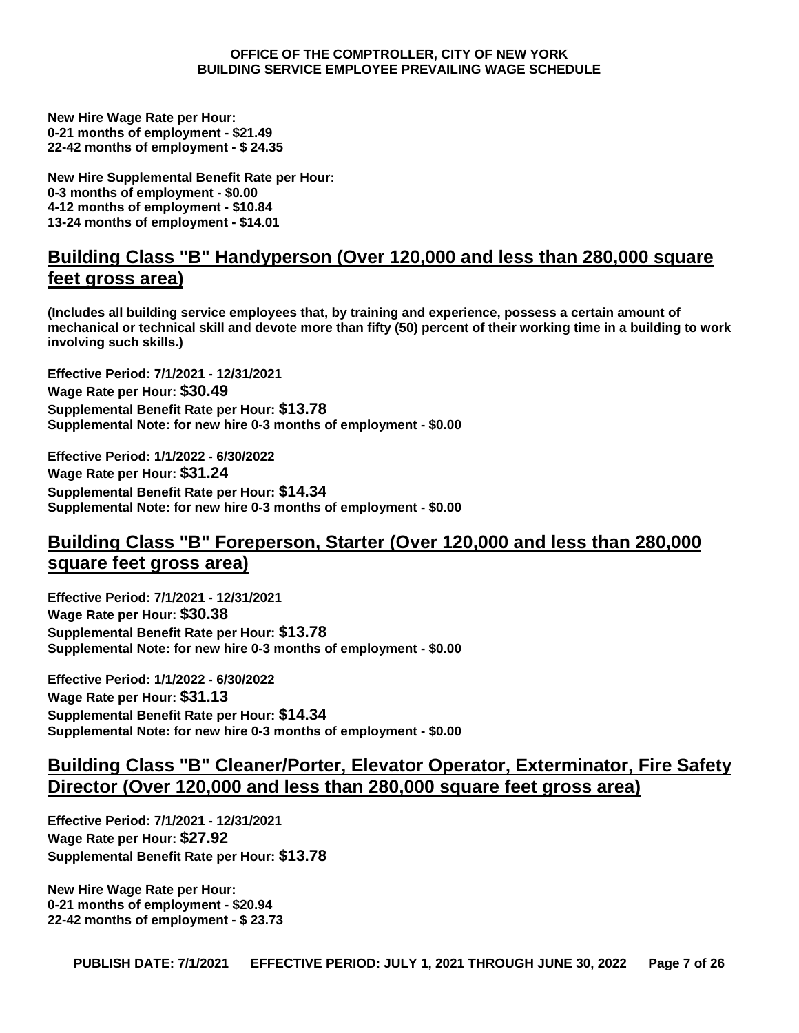**New Hire Wage Rate per Hour: 0-21 months of employment - \$21.49 22-42 months of employment - \$ 24.35**

**New Hire Supplemental Benefit Rate per Hour: 0-3 months of employment - \$0.00 4-12 months of employment - \$10.84 13-24 months of employment - \$14.01**

## **Building Class "B" Handyperson (Over 120,000 and less than 280,000 square feet gross area)**

**(Includes all building service employees that, by training and experience, possess a certain amount of mechanical or technical skill and devote more than fifty (50) percent of their working time in a building to work involving such skills.)**

**Effective Period: 7/1/2021 - 12/31/2021 Wage Rate per Hour: \$30.49 Supplemental Benefit Rate per Hour: \$13.78 Supplemental Note: for new hire 0-3 months of employment - \$0.00**

**Effective Period: 1/1/2022 - 6/30/2022 Wage Rate per Hour: \$31.24 Supplemental Benefit Rate per Hour: \$14.34 Supplemental Note: for new hire 0-3 months of employment - \$0.00**

# **Building Class "B" Foreperson, Starter (Over 120,000 and less than 280,000 square feet gross area)**

**Effective Period: 7/1/2021 - 12/31/2021 Wage Rate per Hour: \$30.38 Supplemental Benefit Rate per Hour: \$13.78 Supplemental Note: for new hire 0-3 months of employment - \$0.00**

**Effective Period: 1/1/2022 - 6/30/2022 Wage Rate per Hour: \$31.13 Supplemental Benefit Rate per Hour: \$14.34 Supplemental Note: for new hire 0-3 months of employment - \$0.00**

## **Building Class "B" Cleaner/Porter, Elevator Operator, Exterminator, Fire Safety Director (Over 120,000 and less than 280,000 square feet gross area)**

**Effective Period: 7/1/2021 - 12/31/2021 Wage Rate per Hour: \$27.92 Supplemental Benefit Rate per Hour: \$13.78**

**New Hire Wage Rate per Hour: 0-21 months of employment - \$20.94 22-42 months of employment - \$ 23.73**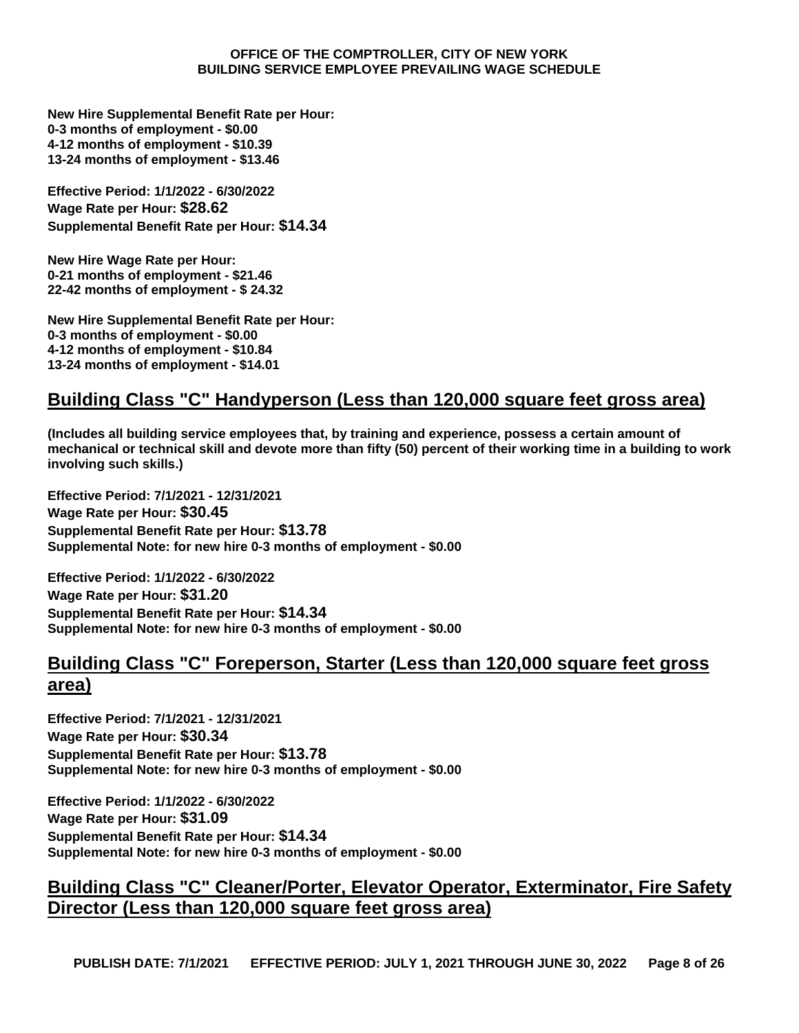**New Hire Supplemental Benefit Rate per Hour: 0-3 months of employment - \$0.00 4-12 months of employment - \$10.39 13-24 months of employment - \$13.46**

**Effective Period: 1/1/2022 - 6/30/2022 Wage Rate per Hour: \$28.62 Supplemental Benefit Rate per Hour: \$14.34**

**New Hire Wage Rate per Hour: 0-21 months of employment - \$21.46 22-42 months of employment - \$ 24.32**

**New Hire Supplemental Benefit Rate per Hour: 0-3 months of employment - \$0.00 4-12 months of employment - \$10.84 13-24 months of employment - \$14.01**

# **Building Class "C" Handyperson (Less than 120,000 square feet gross area)**

**(Includes all building service employees that, by training and experience, possess a certain amount of mechanical or technical skill and devote more than fifty (50) percent of their working time in a building to work involving such skills.)**

**Effective Period: 7/1/2021 - 12/31/2021 Wage Rate per Hour: \$30.45 Supplemental Benefit Rate per Hour: \$13.78 Supplemental Note: for new hire 0-3 months of employment - \$0.00**

**Effective Period: 1/1/2022 - 6/30/2022 Wage Rate per Hour: \$31.20 Supplemental Benefit Rate per Hour: \$14.34 Supplemental Note: for new hire 0-3 months of employment - \$0.00**

## **Building Class "C" Foreperson, Starter (Less than 120,000 square feet gross area)**

**Effective Period: 7/1/2021 - 12/31/2021 Wage Rate per Hour: \$30.34 Supplemental Benefit Rate per Hour: \$13.78 Supplemental Note: for new hire 0-3 months of employment - \$0.00**

**Effective Period: 1/1/2022 - 6/30/2022 Wage Rate per Hour: \$31.09 Supplemental Benefit Rate per Hour: \$14.34 Supplemental Note: for new hire 0-3 months of employment - \$0.00**

# **Building Class "C" Cleaner/Porter, Elevator Operator, Exterminator, Fire Safety Director (Less than 120,000 square feet gross area)**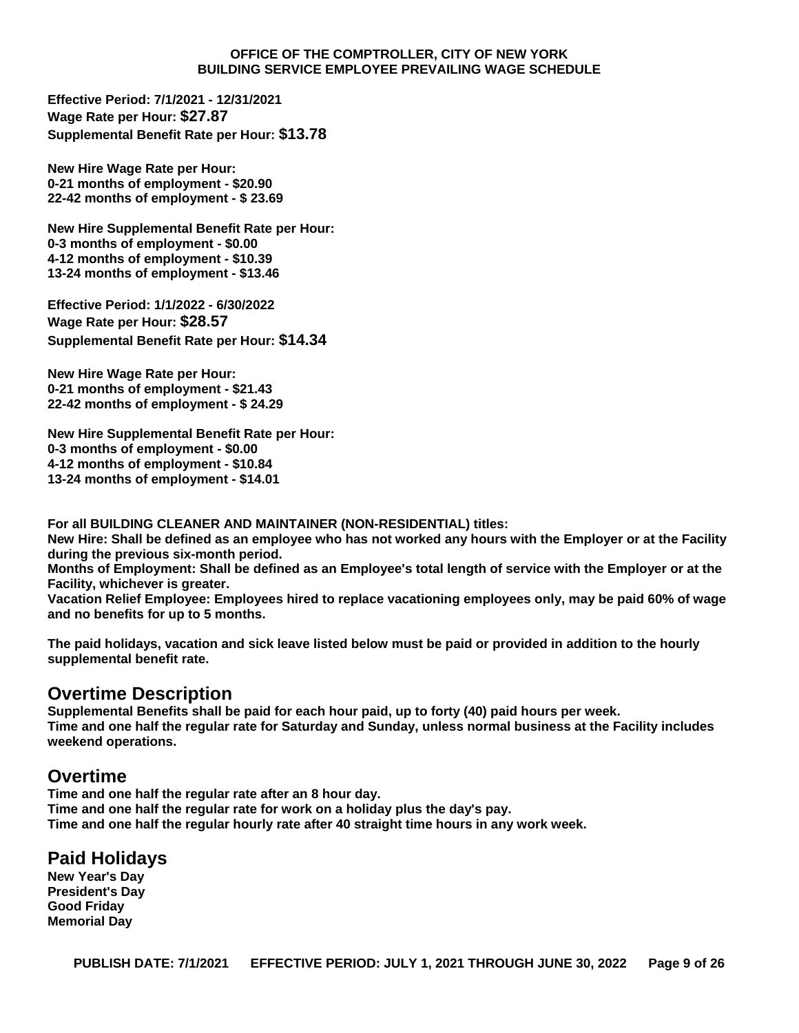**Effective Period: 7/1/2021 - 12/31/2021 Wage Rate per Hour: \$27.87 Supplemental Benefit Rate per Hour: \$13.78**

**New Hire Wage Rate per Hour: 0-21 months of employment - \$20.90 22-42 months of employment - \$ 23.69**

**New Hire Supplemental Benefit Rate per Hour: 0-3 months of employment - \$0.00 4-12 months of employment - \$10.39 13-24 months of employment - \$13.46**

**Effective Period: 1/1/2022 - 6/30/2022 Wage Rate per Hour: \$28.57 Supplemental Benefit Rate per Hour: \$14.34**

**New Hire Wage Rate per Hour: 0-21 months of employment - \$21.43 22-42 months of employment - \$ 24.29**

**New Hire Supplemental Benefit Rate per Hour: 0-3 months of employment - \$0.00 4-12 months of employment - \$10.84 13-24 months of employment - \$14.01**

**For all BUILDING CLEANER AND MAINTAINER (NON-RESIDENTIAL) titles:**

**New Hire: Shall be defined as an employee who has not worked any hours with the Employer or at the Facility during the previous six-month period.**

**Months of Employment: Shall be defined as an Employee's total length of service with the Employer or at the Facility, whichever is greater.**

**Vacation Relief Employee: Employees hired to replace vacationing employees only, may be paid 60% of wage and no benefits for up to 5 months.**

**The paid holidays, vacation and sick leave listed below must be paid or provided in addition to the hourly supplemental benefit rate.**

## **Overtime Description**

**Supplemental Benefits shall be paid for each hour paid, up to forty (40) paid hours per week. Time and one half the regular rate for Saturday and Sunday, unless normal business at the Facility includes weekend operations.**

## **Overtime**

**Time and one half the regular rate after an 8 hour day. Time and one half the regular rate for work on a holiday plus the day's pay. Time and one half the regular hourly rate after 40 straight time hours in any work week.**

## **Paid Holidays**

**New Year's Day President's Day Good Friday Memorial Day**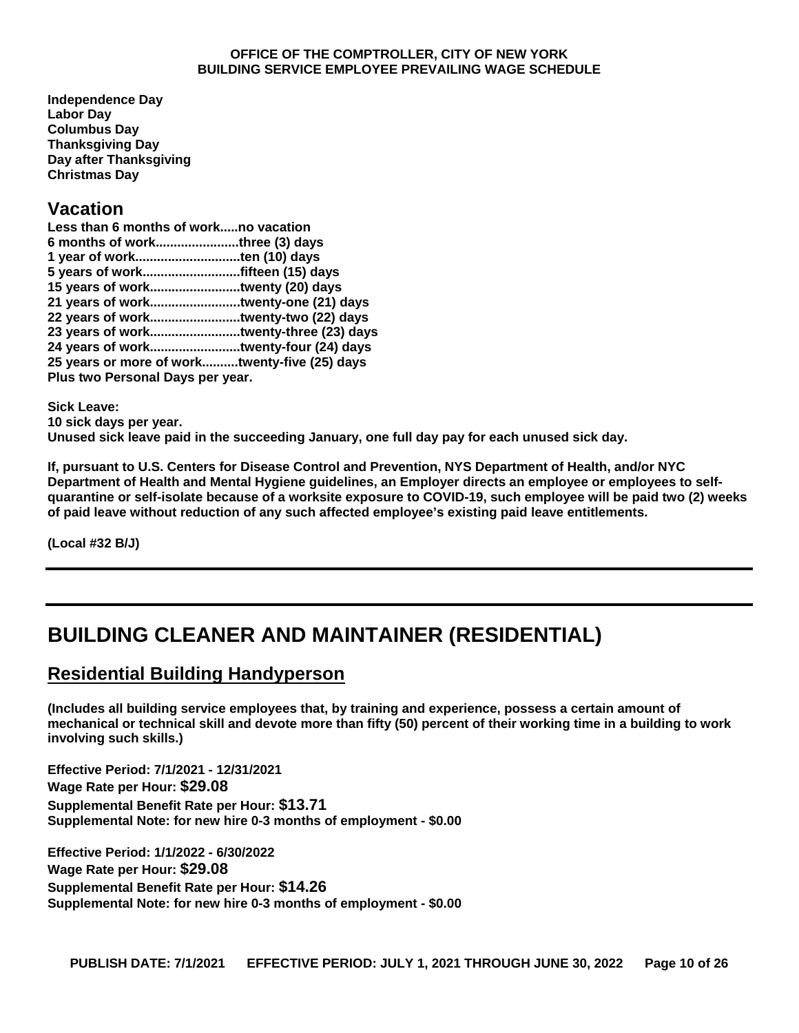**Independence Day Labor Day Columbus Day Thanksgiving Day Day after Thanksgiving Christmas Day**

## **Vacation**

| Less than 6 months of workno vacation         |  |
|-----------------------------------------------|--|
| 6 months of workthree (3) days                |  |
|                                               |  |
|                                               |  |
| 15 years of worktwenty (20) days              |  |
| 21 years of worktwenty-one (21) days          |  |
| 22 years of worktwenty-two (22) days          |  |
| 23 years of worktwenty-three (23) days        |  |
|                                               |  |
| 25 years or more of worktwenty-five (25) days |  |
| Plus two Personal Days per year.              |  |
|                                               |  |

**Sick Leave: 10 sick days per year. Unused sick leave paid in the succeeding January, one full day pay for each unused sick day.**

**If, pursuant to U.S. Centers for Disease Control and Prevention, NYS Department of Health, and/or NYC Department of Health and Mental Hygiene guidelines, an Employer directs an employee or employees to selfquarantine or self-isolate because of a worksite exposure to COVID-19, such employee will be paid two (2) weeks of paid leave without reduction of any such affected employee's existing paid leave entitlements.**

**(Local #32 B/J)**

# <span id="page-9-0"></span>**BUILDING CLEANER AND MAINTAINER (RESIDENTIAL)**

# **Residential Building Handyperson**

**(Includes all building service employees that, by training and experience, possess a certain amount of mechanical or technical skill and devote more than fifty (50) percent of their working time in a building to work involving such skills.)**

**Effective Period: 7/1/2021 - 12/31/2021 Wage Rate per Hour: \$29.08 Supplemental Benefit Rate per Hour: \$13.71 Supplemental Note: for new hire 0-3 months of employment - \$0.00**

**Effective Period: 1/1/2022 - 6/30/2022 Wage Rate per Hour: \$29.08 Supplemental Benefit Rate per Hour: \$14.26 Supplemental Note: for new hire 0-3 months of employment - \$0.00**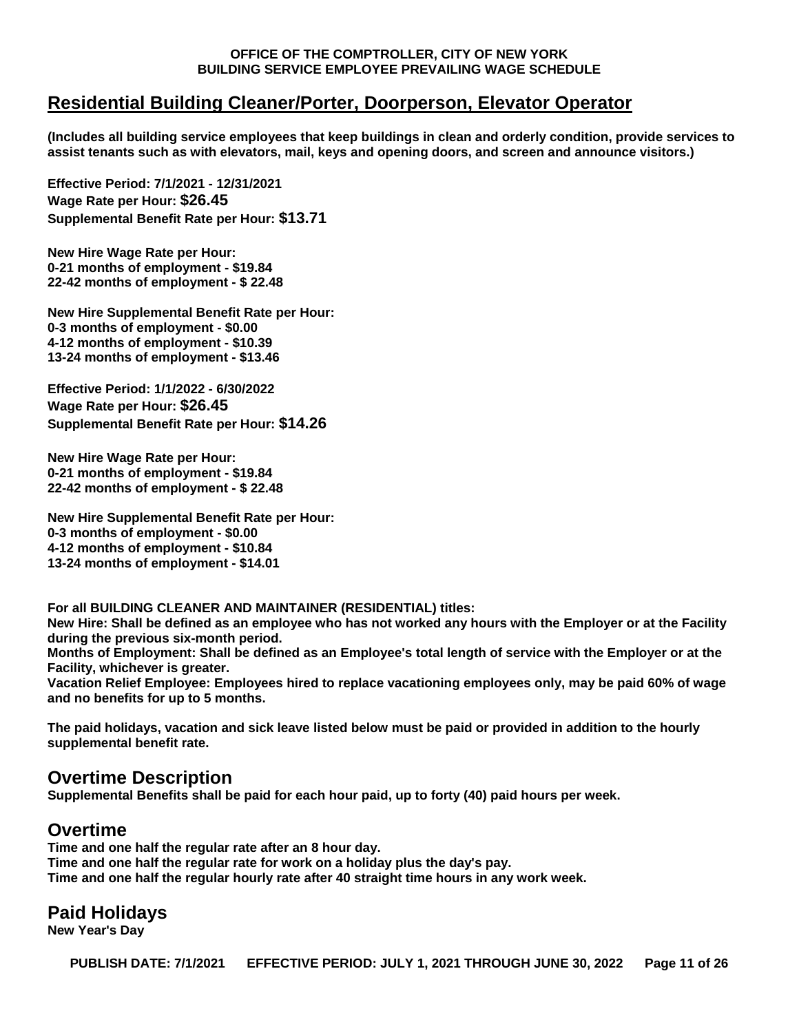## **Residential Building Cleaner/Porter, Doorperson, Elevator Operator**

**(Includes all building service employees that keep buildings in clean and orderly condition, provide services to assist tenants such as with elevators, mail, keys and opening doors, and screen and announce visitors.)**

**Effective Period: 7/1/2021 - 12/31/2021 Wage Rate per Hour: \$26.45 Supplemental Benefit Rate per Hour: \$13.71**

**New Hire Wage Rate per Hour: 0-21 months of employment - \$19.84 22-42 months of employment - \$ 22.48**

**New Hire Supplemental Benefit Rate per Hour: 0-3 months of employment - \$0.00 4-12 months of employment - \$10.39 13-24 months of employment - \$13.46**

**Effective Period: 1/1/2022 - 6/30/2022 Wage Rate per Hour: \$26.45 Supplemental Benefit Rate per Hour: \$14.26**

**New Hire Wage Rate per Hour: 0-21 months of employment - \$19.84 22-42 months of employment - \$ 22.48**

**New Hire Supplemental Benefit Rate per Hour: 0-3 months of employment - \$0.00 4-12 months of employment - \$10.84 13-24 months of employment - \$14.01**

**For all BUILDING CLEANER AND MAINTAINER (RESIDENTIAL) titles: New Hire: Shall be defined as an employee who has not worked any hours with the Employer or at the Facility during the previous six-month period. Months of Employment: Shall be defined as an Employee's total length of service with the Employer or at the Facility, whichever is greater.**

**Vacation Relief Employee: Employees hired to replace vacationing employees only, may be paid 60% of wage and no benefits for up to 5 months.**

**The paid holidays, vacation and sick leave listed below must be paid or provided in addition to the hourly supplemental benefit rate.**

## **Overtime Description**

**Supplemental Benefits shall be paid for each hour paid, up to forty (40) paid hours per week.**

## **Overtime**

**Time and one half the regular rate after an 8 hour day. Time and one half the regular rate for work on a holiday plus the day's pay. Time and one half the regular hourly rate after 40 straight time hours in any work week.**

## **Paid Holidays**

**New Year's Day**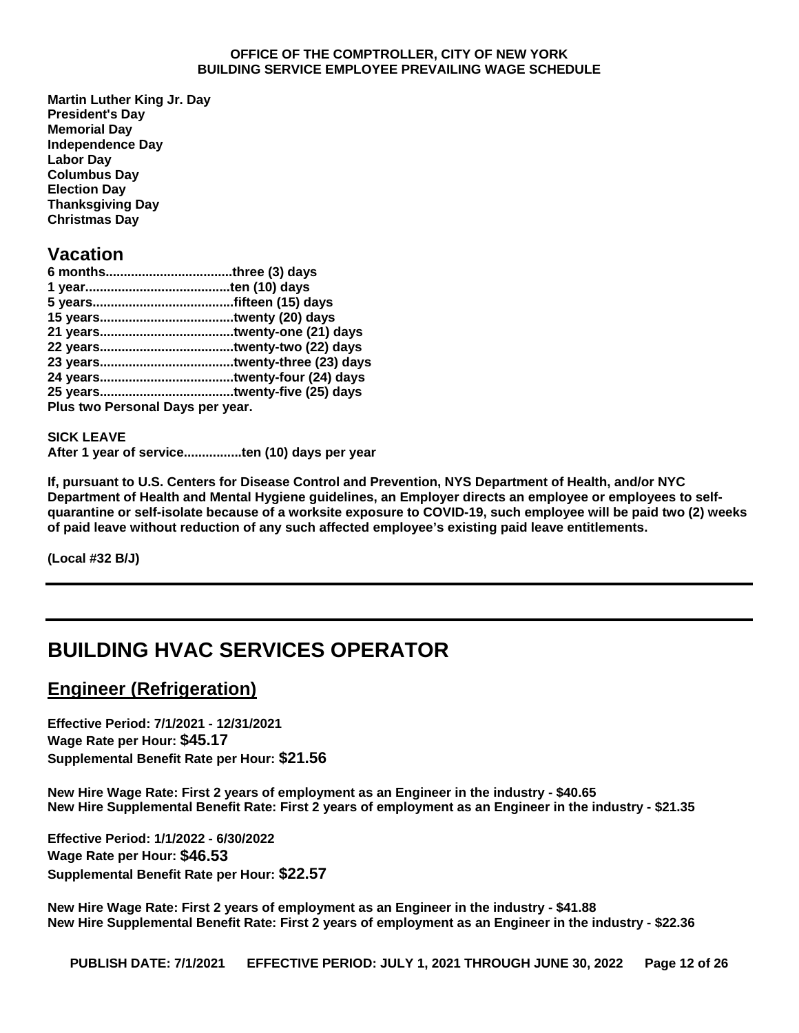**Martin Luther King Jr. Day President's Day Memorial Day Independence Day Labor Day Columbus Day Election Day Thanksgiving Day Christmas Day**

## **Vacation**

| Plus two Personal Days per year. |
|----------------------------------|
|                                  |

**SICK LEAVE After 1 year of service................ten (10) days per year**

**If, pursuant to U.S. Centers for Disease Control and Prevention, NYS Department of Health, and/or NYC Department of Health and Mental Hygiene guidelines, an Employer directs an employee or employees to selfquarantine or self-isolate because of a worksite exposure to COVID-19, such employee will be paid two (2) weeks of paid leave without reduction of any such affected employee's existing paid leave entitlements.**

**(Local #32 B/J)**

# <span id="page-11-0"></span>**BUILDING HVAC SERVICES OPERATOR**

# **Engineer (Refrigeration)**

**Effective Period: 7/1/2021 - 12/31/2021 Wage Rate per Hour: \$45.17 Supplemental Benefit Rate per Hour: \$21.56**

**New Hire Wage Rate: First 2 years of employment as an Engineer in the industry - \$40.65 New Hire Supplemental Benefit Rate: First 2 years of employment as an Engineer in the industry - \$21.35**

**Effective Period: 1/1/2022 - 6/30/2022 Wage Rate per Hour: \$46.53 Supplemental Benefit Rate per Hour: \$22.57**

**New Hire Wage Rate: First 2 years of employment as an Engineer in the industry - \$41.88 New Hire Supplemental Benefit Rate: First 2 years of employment as an Engineer in the industry - \$22.36**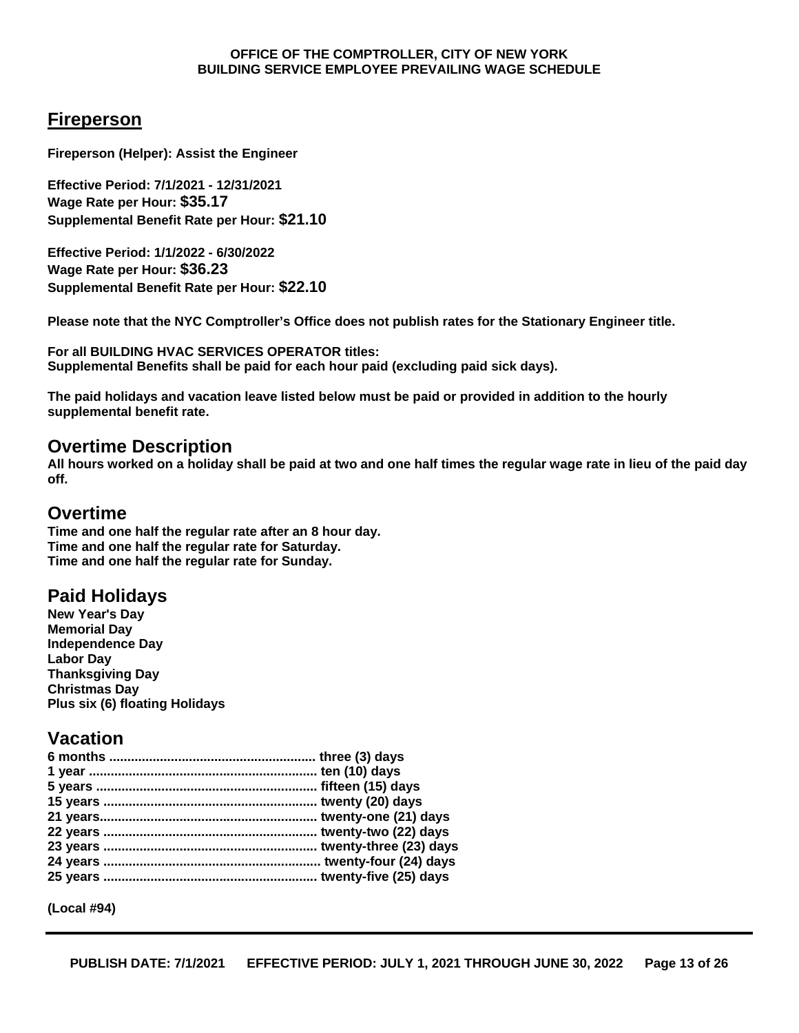## **Fireperson**

**Fireperson (Helper): Assist the Engineer**

**Effective Period: 7/1/2021 - 12/31/2021 Wage Rate per Hour: \$35.17 Supplemental Benefit Rate per Hour: \$21.10**

**Effective Period: 1/1/2022 - 6/30/2022 Wage Rate per Hour: \$36.23 Supplemental Benefit Rate per Hour: \$22.10**

**Please note that the NYC Comptroller's Office does not publish rates for the Stationary Engineer title.**

**For all BUILDING HVAC SERVICES OPERATOR titles: Supplemental Benefits shall be paid for each hour paid (excluding paid sick days).**

**The paid holidays and vacation leave listed below must be paid or provided in addition to the hourly supplemental benefit rate.**

### **Overtime Description**

**All hours worked on a holiday shall be paid at two and one half times the regular wage rate in lieu of the paid day off.**

### **Overtime**

**Time and one half the regular rate after an 8 hour day. Time and one half the regular rate for Saturday. Time and one half the regular rate for Sunday.**

## **Paid Holidays**

**New Year's Day Memorial Day Independence Day Labor Day Thanksgiving Day Christmas Day Plus six (6) floating Holidays**

## **Vacation**

**(Local #94)**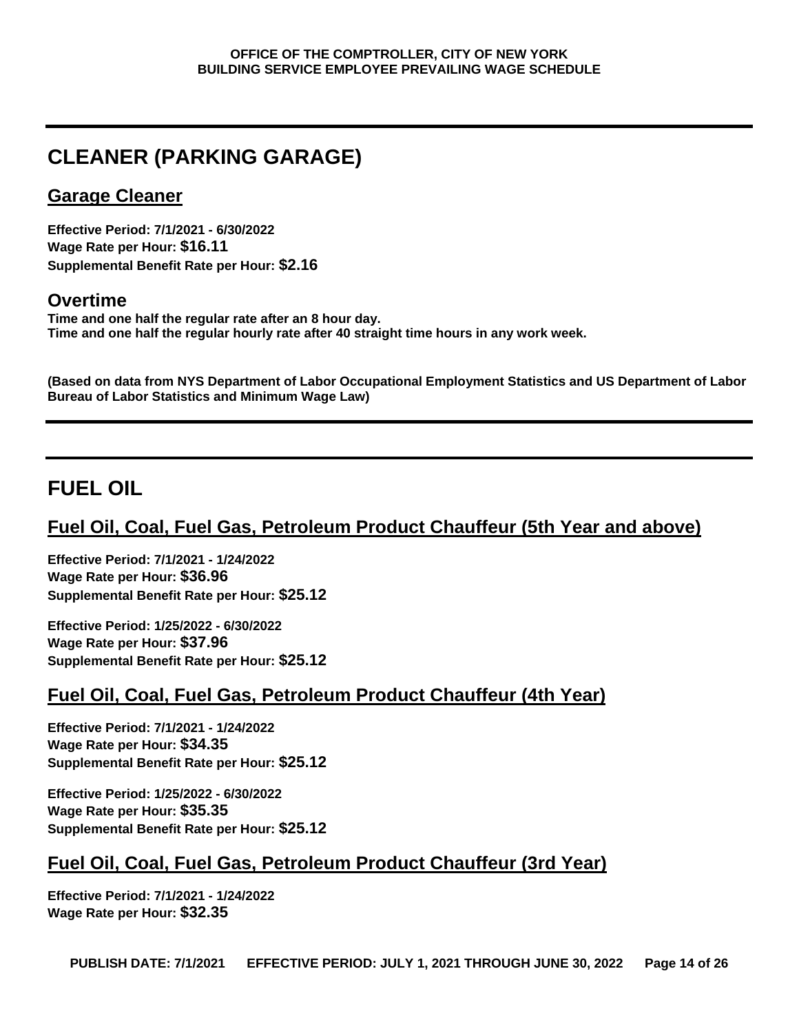# <span id="page-13-0"></span>**CLEANER (PARKING GARAGE)**

## **Garage Cleaner**

**Effective Period: 7/1/2021 - 6/30/2022 Wage Rate per Hour: \$16.11 Supplemental Benefit Rate per Hour: \$2.16**

## **Overtime**

**Time and one half the regular rate after an 8 hour day. Time and one half the regular hourly rate after 40 straight time hours in any work week.**

**(Based on data from NYS Department of Labor Occupational Employment Statistics and US Department of Labor Bureau of Labor Statistics and Minimum Wage Law)**

# <span id="page-13-1"></span>**FUEL OIL**

# **Fuel Oil, Coal, Fuel Gas, Petroleum Product Chauffeur (5th Year and above)**

**Effective Period: 7/1/2021 - 1/24/2022 Wage Rate per Hour: \$36.96 Supplemental Benefit Rate per Hour: \$25.12**

**Effective Period: 1/25/2022 - 6/30/2022 Wage Rate per Hour: \$37.96 Supplemental Benefit Rate per Hour: \$25.12**

# **Fuel Oil, Coal, Fuel Gas, Petroleum Product Chauffeur (4th Year)**

**Effective Period: 7/1/2021 - 1/24/2022 Wage Rate per Hour: \$34.35 Supplemental Benefit Rate per Hour: \$25.12**

**Effective Period: 1/25/2022 - 6/30/2022 Wage Rate per Hour: \$35.35 Supplemental Benefit Rate per Hour: \$25.12**

# **Fuel Oil, Coal, Fuel Gas, Petroleum Product Chauffeur (3rd Year)**

**Effective Period: 7/1/2021 - 1/24/2022 Wage Rate per Hour: \$32.35**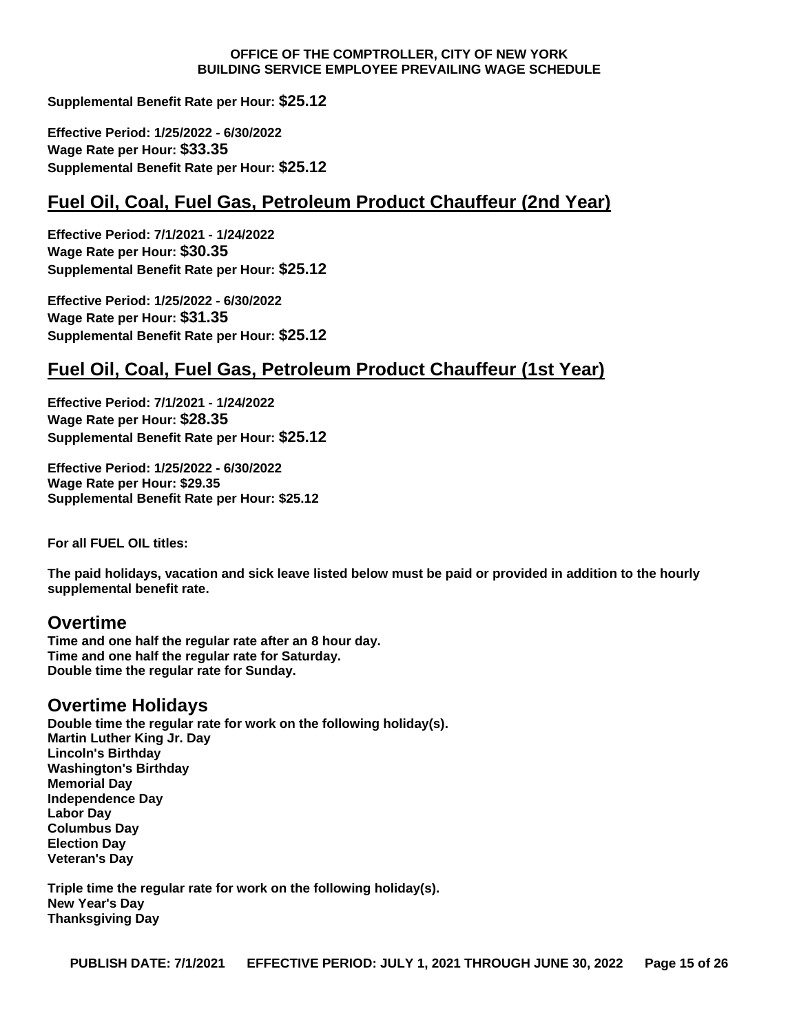**Supplemental Benefit Rate per Hour: \$25.12**

**Effective Period: 1/25/2022 - 6/30/2022 Wage Rate per Hour: \$33.35 Supplemental Benefit Rate per Hour: \$25.12**

## **Fuel Oil, Coal, Fuel Gas, Petroleum Product Chauffeur (2nd Year)**

**Effective Period: 7/1/2021 - 1/24/2022 Wage Rate per Hour: \$30.35 Supplemental Benefit Rate per Hour: \$25.12**

**Effective Period: 1/25/2022 - 6/30/2022 Wage Rate per Hour: \$31.35 Supplemental Benefit Rate per Hour: \$25.12**

## **Fuel Oil, Coal, Fuel Gas, Petroleum Product Chauffeur (1st Year)**

**Effective Period: 7/1/2021 - 1/24/2022 Wage Rate per Hour: \$28.35 Supplemental Benefit Rate per Hour: \$25.12**

**Effective Period: 1/25/2022 - 6/30/2022 Wage Rate per Hour: \$29.35 Supplemental Benefit Rate per Hour: \$25.12**

**For all FUEL OIL titles:**

**The paid holidays, vacation and sick leave listed below must be paid or provided in addition to the hourly supplemental benefit rate.**

### **Overtime**

**Time and one half the regular rate after an 8 hour day. Time and one half the regular rate for Saturday. Double time the regular rate for Sunday.**

### **Overtime Holidays**

**Double time the regular rate for work on the following holiday(s). Martin Luther King Jr. Day Lincoln's Birthday Washington's Birthday Memorial Day Independence Day Labor Day Columbus Day Election Day Veteran's Day**

**Triple time the regular rate for work on the following holiday(s). New Year's Day Thanksgiving Day**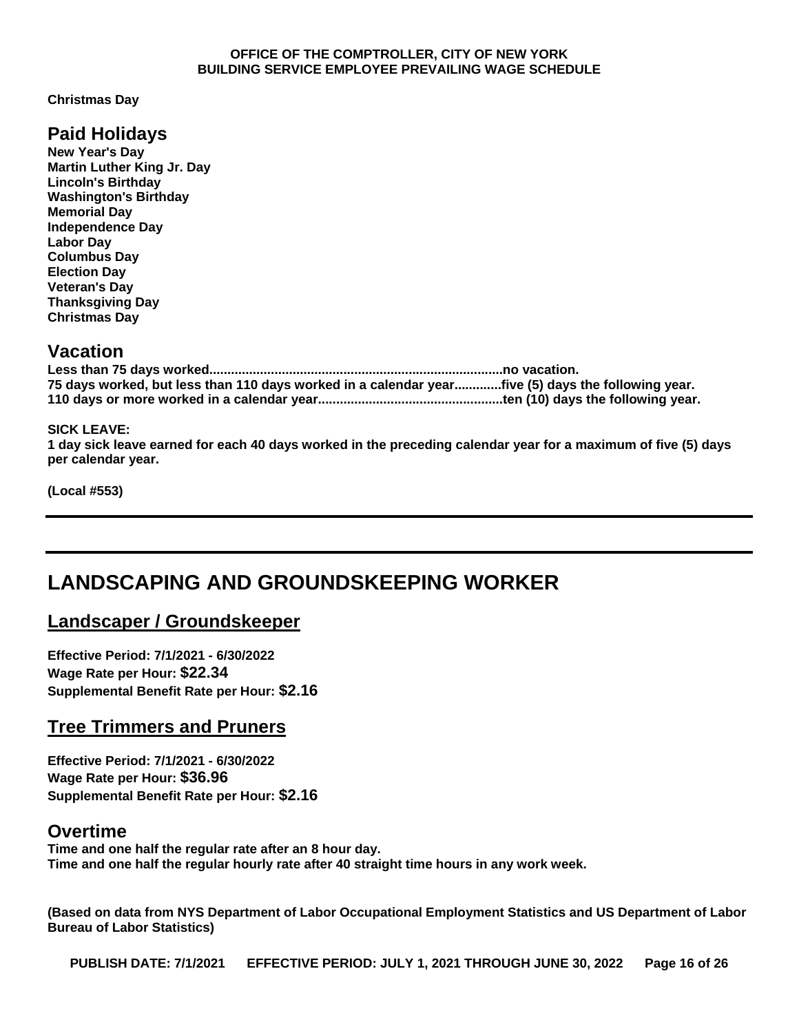**Christmas Day**

## **Paid Holidays**

**New Year's Day Martin Luther King Jr. Day Lincoln's Birthday Washington's Birthday Memorial Day Independence Day Labor Day Columbus Day Election Day Veteran's Day Thanksgiving Day Christmas Day**

## **Vacation**

| 75 days worked, but less than 110 days worked in a calendar yearfive (5) days the following year. |  |
|---------------------------------------------------------------------------------------------------|--|
|                                                                                                   |  |

#### **SICK LEAVE:**

**1 day sick leave earned for each 40 days worked in the preceding calendar year for a maximum of five (5) days per calendar year.**

**(Local #553)**

# <span id="page-15-0"></span>**LANDSCAPING AND GROUNDSKEEPING WORKER**

## **Landscaper / Groundskeeper**

**Effective Period: 7/1/2021 - 6/30/2022 Wage Rate per Hour: \$22.34 Supplemental Benefit Rate per Hour: \$2.16**

## **Tree Trimmers and Pruners**

**Effective Period: 7/1/2021 - 6/30/2022 Wage Rate per Hour: \$36.96 Supplemental Benefit Rate per Hour: \$2.16**

### **Overtime**

**Time and one half the regular rate after an 8 hour day. Time and one half the regular hourly rate after 40 straight time hours in any work week.**

**(Based on data from NYS Department of Labor Occupational Employment Statistics and US Department of Labor Bureau of Labor Statistics)**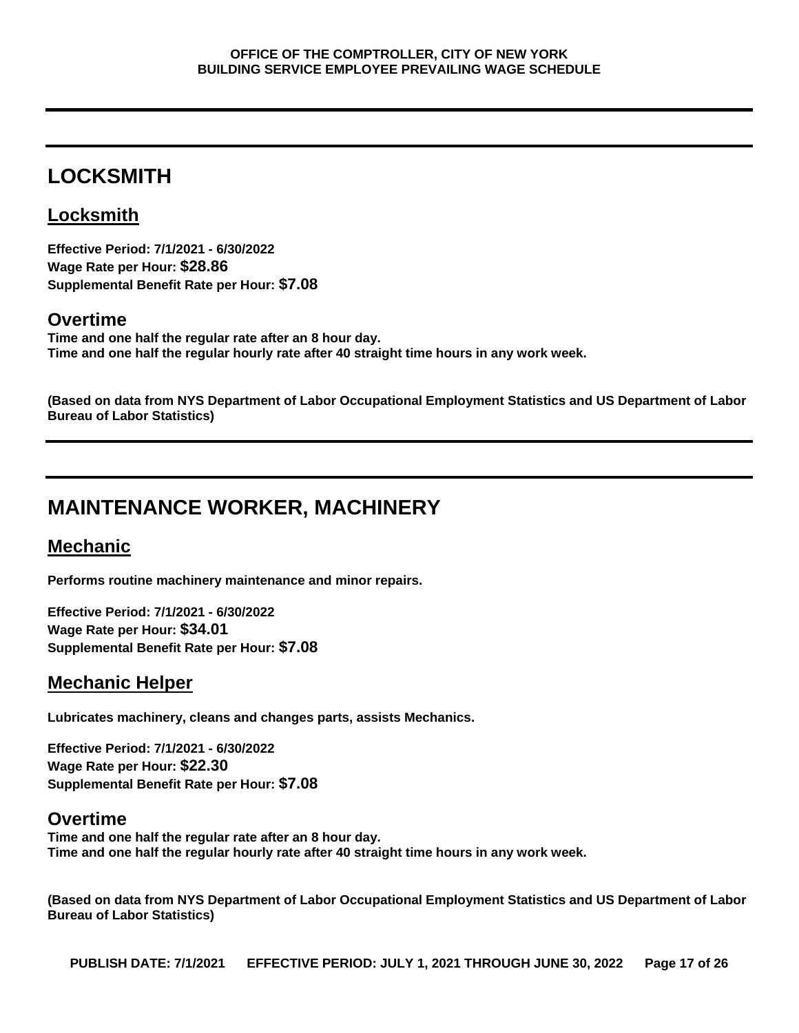# <span id="page-16-0"></span>**LOCKSMITH**

# **Locksmith**

**Effective Period: 7/1/2021 - 6/30/2022 Wage Rate per Hour: \$28.86 Supplemental Benefit Rate per Hour: \$7.08**

## **Overtime**

**Time and one half the regular rate after an 8 hour day. Time and one half the regular hourly rate after 40 straight time hours in any work week.**

**(Based on data from NYS Department of Labor Occupational Employment Statistics and US Department of Labor Bureau of Labor Statistics)**

# <span id="page-16-1"></span>**MAINTENANCE WORKER, MACHINERY**

# **Mechanic**

**Performs routine machinery maintenance and minor repairs.**

**Effective Period: 7/1/2021 - 6/30/2022 Wage Rate per Hour: \$34.01 Supplemental Benefit Rate per Hour: \$7.08**

# **Mechanic Helper**

**Lubricates machinery, cleans and changes parts, assists Mechanics.**

**Effective Period: 7/1/2021 - 6/30/2022 Wage Rate per Hour: \$22.30 Supplemental Benefit Rate per Hour: \$7.08**

## **Overtime**

**Time and one half the regular rate after an 8 hour day. Time and one half the regular hourly rate after 40 straight time hours in any work week.**

**(Based on data from NYS Department of Labor Occupational Employment Statistics and US Department of Labor Bureau of Labor Statistics)**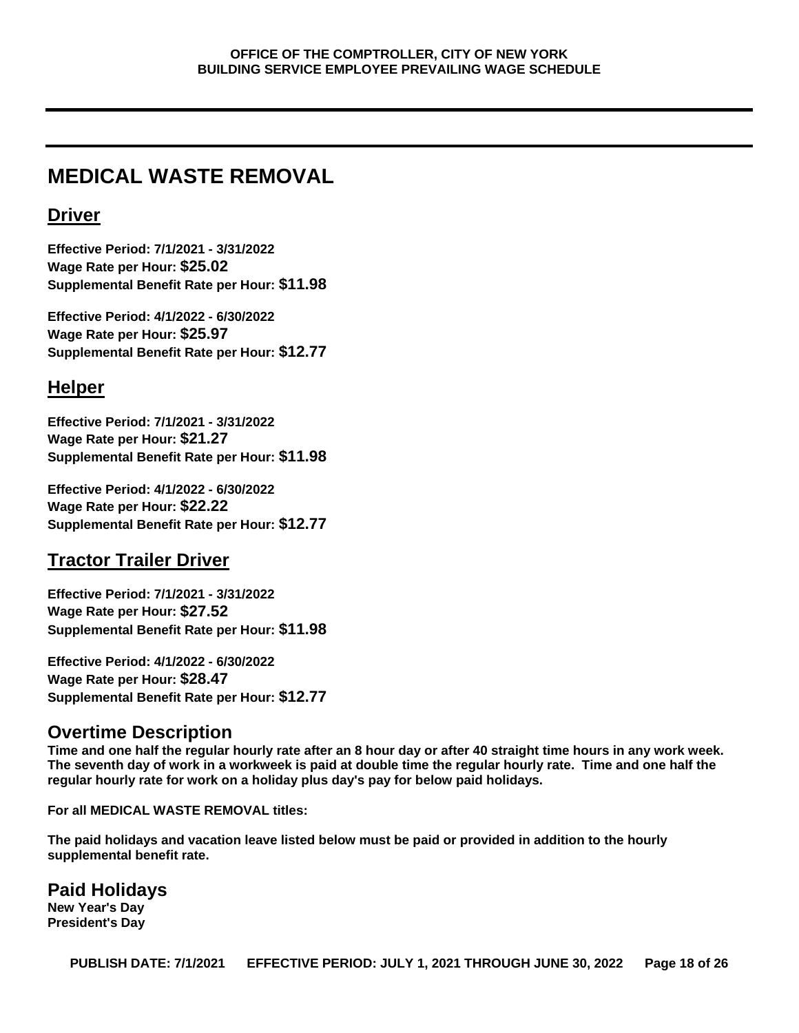# <span id="page-17-0"></span>**MEDICAL WASTE REMOVAL**

## **Driver**

**Effective Period: 7/1/2021 - 3/31/2022 Wage Rate per Hour: \$25.02 Supplemental Benefit Rate per Hour: \$11.98**

**Effective Period: 4/1/2022 - 6/30/2022 Wage Rate per Hour: \$25.97 Supplemental Benefit Rate per Hour: \$12.77**

## **Helper**

**Effective Period: 7/1/2021 - 3/31/2022 Wage Rate per Hour: \$21.27 Supplemental Benefit Rate per Hour: \$11.98**

**Effective Period: 4/1/2022 - 6/30/2022 Wage Rate per Hour: \$22.22 Supplemental Benefit Rate per Hour: \$12.77**

## **Tractor Trailer Driver**

**Effective Period: 7/1/2021 - 3/31/2022 Wage Rate per Hour: \$27.52 Supplemental Benefit Rate per Hour: \$11.98**

**Effective Period: 4/1/2022 - 6/30/2022 Wage Rate per Hour: \$28.47 Supplemental Benefit Rate per Hour: \$12.77**

## **Overtime Description**

**Time and one half the regular hourly rate after an 8 hour day or after 40 straight time hours in any work week. The seventh day of work in a workweek is paid at double time the regular hourly rate. Time and one half the regular hourly rate for work on a holiday plus day's pay for below paid holidays.**

**For all MEDICAL WASTE REMOVAL titles:**

**The paid holidays and vacation leave listed below must be paid or provided in addition to the hourly supplemental benefit rate.**

# **Paid Holidays**

**New Year's Day President's Day**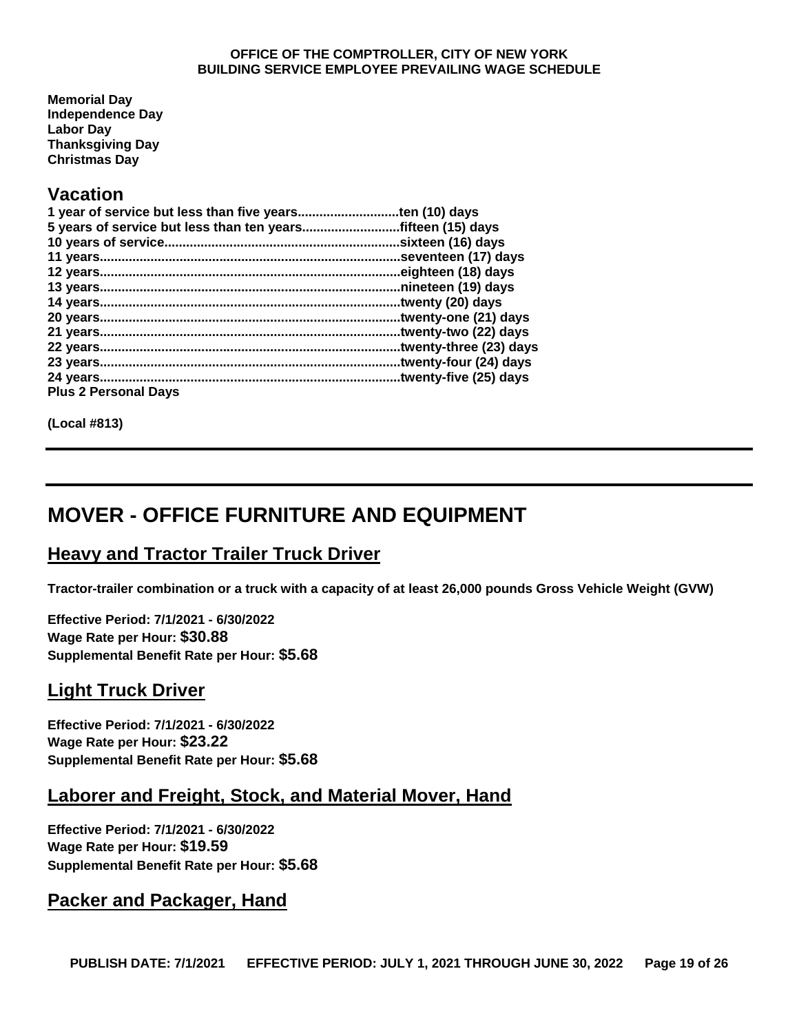**Memorial Day Independence Day Labor Day Thanksgiving Day Christmas Day**

## **Vacation**

| 5 years of service but less than ten years | fifteen (15) days.     |
|--------------------------------------------|------------------------|
|                                            | sixteen (16) days.     |
|                                            | seventeen (17) days.   |
|                                            | eighteen (18) days.    |
|                                            | nineteen (19) days.    |
|                                            | twenty (20) days.      |
| 20 years                                   | twenty-one (21) days   |
|                                            | twenty-two (22) days.  |
|                                            | twenty-three (23) days |
|                                            | twenty-four (24) days. |
|                                            | twenty-five (25) days. |
| <b>Plus 2 Personal Days</b>                |                        |

**(Local #813)**

# <span id="page-18-0"></span>**MOVER - OFFICE FURNITURE AND EQUIPMENT**

## **Heavy and Tractor Trailer Truck Driver**

**Tractor-trailer combination or a truck with a capacity of at least 26,000 pounds Gross Vehicle Weight (GVW)**

**Effective Period: 7/1/2021 - 6/30/2022 Wage Rate per Hour: \$30.88 Supplemental Benefit Rate per Hour: \$5.68**

## **Light Truck Driver**

**Effective Period: 7/1/2021 - 6/30/2022 Wage Rate per Hour: \$23.22 Supplemental Benefit Rate per Hour: \$5.68**

## **Laborer and Freight, Stock, and Material Mover, Hand**

**Effective Period: 7/1/2021 - 6/30/2022 Wage Rate per Hour: \$19.59 Supplemental Benefit Rate per Hour: \$5.68**

## **Packer and Packager, Hand**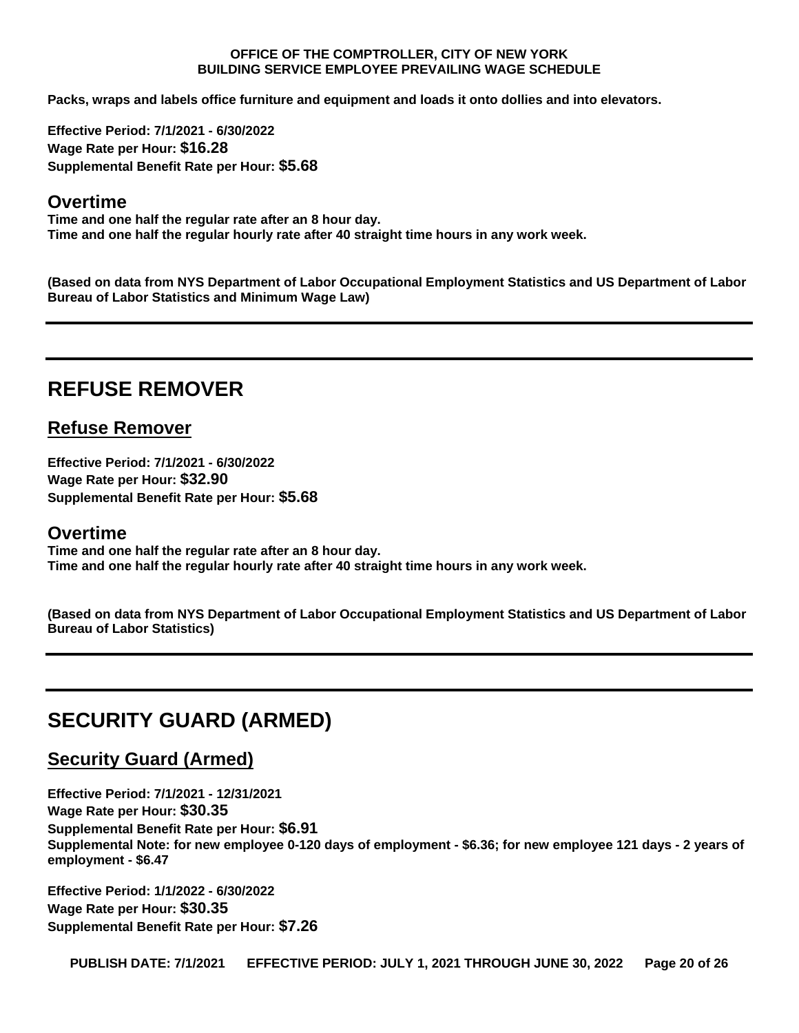**Packs, wraps and labels office furniture and equipment and loads it onto dollies and into elevators.**

**Effective Period: 7/1/2021 - 6/30/2022 Wage Rate per Hour: \$16.28 Supplemental Benefit Rate per Hour: \$5.68**

#### **Overtime**

**Time and one half the regular rate after an 8 hour day. Time and one half the regular hourly rate after 40 straight time hours in any work week.**

**(Based on data from NYS Department of Labor Occupational Employment Statistics and US Department of Labor Bureau of Labor Statistics and Minimum Wage Law)**

# <span id="page-19-0"></span>**REFUSE REMOVER**

### **Refuse Remover**

**Effective Period: 7/1/2021 - 6/30/2022 Wage Rate per Hour: \$32.90 Supplemental Benefit Rate per Hour: \$5.68**

#### **Overtime**

**Time and one half the regular rate after an 8 hour day. Time and one half the regular hourly rate after 40 straight time hours in any work week.**

**(Based on data from NYS Department of Labor Occupational Employment Statistics and US Department of Labor Bureau of Labor Statistics)**

# <span id="page-19-1"></span>**SECURITY GUARD (ARMED)**

## **Security Guard (Armed)**

**Effective Period: 7/1/2021 - 12/31/2021 Wage Rate per Hour: \$30.35 Supplemental Benefit Rate per Hour: \$6.91 Supplemental Note: for new employee 0-120 days of employment - \$6.36; for new employee 121 days - 2 years of employment - \$6.47**

**Effective Period: 1/1/2022 - 6/30/2022 Wage Rate per Hour: \$30.35 Supplemental Benefit Rate per Hour: \$7.26**

**PUBLISH DATE: 7/1/2021 EFFECTIVE PERIOD: JULY 1, 2021 THROUGH JUNE 30, 2022 Page 20 of 26**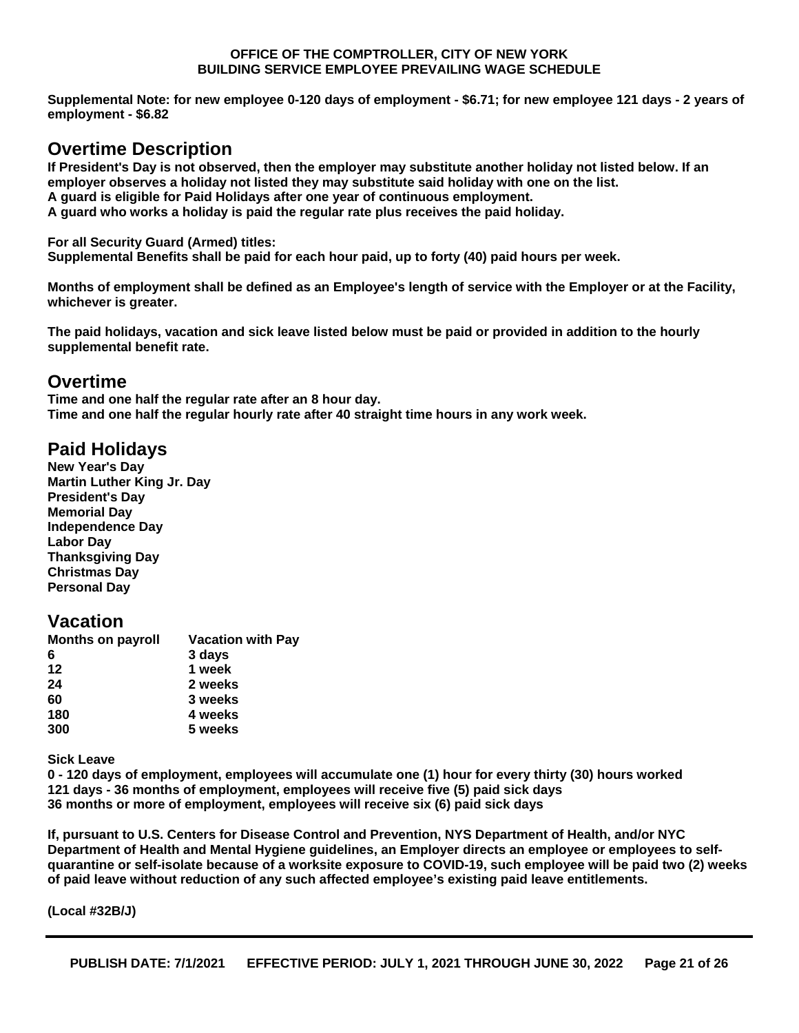**Supplemental Note: for new employee 0-120 days of employment - \$6.71; for new employee 121 days - 2 years of employment - \$6.82**

## **Overtime Description**

**If President's Day is not observed, then the employer may substitute another holiday not listed below. If an employer observes a holiday not listed they may substitute said holiday with one on the list. A guard is eligible for Paid Holidays after one year of continuous employment.**

**A guard who works a holiday is paid the regular rate plus receives the paid holiday.**

**For all Security Guard (Armed) titles:**

**Supplemental Benefits shall be paid for each hour paid, up to forty (40) paid hours per week.**

**Months of employment shall be defined as an Employee's length of service with the Employer or at the Facility, whichever is greater.**

**The paid holidays, vacation and sick leave listed below must be paid or provided in addition to the hourly supplemental benefit rate.**

## **Overtime**

**Time and one half the regular rate after an 8 hour day. Time and one half the regular hourly rate after 40 straight time hours in any work week.**

## **Paid Holidays**

**New Year's Day Martin Luther King Jr. Day President's Day Memorial Day Independence Day Labor Day Thanksgiving Day Christmas Day Personal Day**

## **Vacation**

| <b>Months on payroll</b> | <b>Vacation with Pay</b> |
|--------------------------|--------------------------|
| 6                        | 3 days                   |
| 12                       | 1 week                   |
| 24                       | 2 weeks                  |
| 60                       | 3 weeks                  |
| 180                      | 4 weeks                  |
| 300                      | 5 weeks                  |
|                          |                          |

**Sick Leave**

**0 - 120 days of employment, employees will accumulate one (1) hour for every thirty (30) hours worked 121 days - 36 months of employment, employees will receive five (5) paid sick days 36 months or more of employment, employees will receive six (6) paid sick days**

**If, pursuant to U.S. Centers for Disease Control and Prevention, NYS Department of Health, and/or NYC Department of Health and Mental Hygiene guidelines, an Employer directs an employee or employees to selfquarantine or self-isolate because of a worksite exposure to COVID-19, such employee will be paid two (2) weeks of paid leave without reduction of any such affected employee's existing paid leave entitlements.**

**(Local #32B/J)**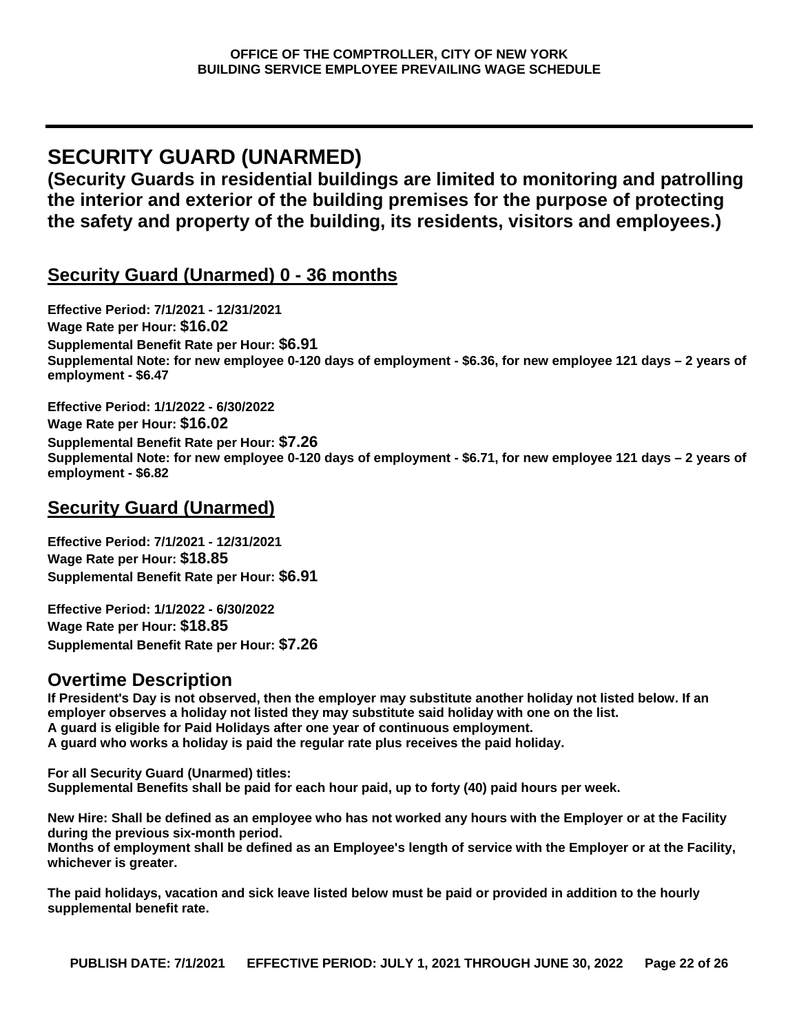# <span id="page-21-0"></span>**SECURITY GUARD (UNARMED)**

**(Security Guards in residential buildings are limited to monitoring and patrolling the interior and exterior of the building premises for the purpose of protecting the safety and property of the building, its residents, visitors and employees.)**

# **Security Guard (Unarmed) 0 - 36 months**

**Effective Period: 7/1/2021 - 12/31/2021 Wage Rate per Hour: \$16.02 Supplemental Benefit Rate per Hour: \$6.91 Supplemental Note: for new employee 0-120 days of employment - \$6.36, for new employee 121 days – 2 years of employment - \$6.47**

**Effective Period: 1/1/2022 - 6/30/2022 Wage Rate per Hour: \$16.02 Supplemental Benefit Rate per Hour: \$7.26 Supplemental Note: for new employee 0-120 days of employment - \$6.71, for new employee 121 days – 2 years of employment - \$6.82**

## **Security Guard (Unarmed)**

**Effective Period: 7/1/2021 - 12/31/2021 Wage Rate per Hour: \$18.85 Supplemental Benefit Rate per Hour: \$6.91**

**Effective Period: 1/1/2022 - 6/30/2022 Wage Rate per Hour: \$18.85 Supplemental Benefit Rate per Hour: \$7.26**

# **Overtime Description**

**If President's Day is not observed, then the employer may substitute another holiday not listed below. If an employer observes a holiday not listed they may substitute said holiday with one on the list. A guard is eligible for Paid Holidays after one year of continuous employment. A guard who works a holiday is paid the regular rate plus receives the paid holiday.**

**For all Security Guard (Unarmed) titles: Supplemental Benefits shall be paid for each hour paid, up to forty (40) paid hours per week.**

**New Hire: Shall be defined as an employee who has not worked any hours with the Employer or at the Facility during the previous six-month period. Months of employment shall be defined as an Employee's length of service with the Employer or at the Facility,** 

**whichever is greater.**

**The paid holidays, vacation and sick leave listed below must be paid or provided in addition to the hourly supplemental benefit rate.**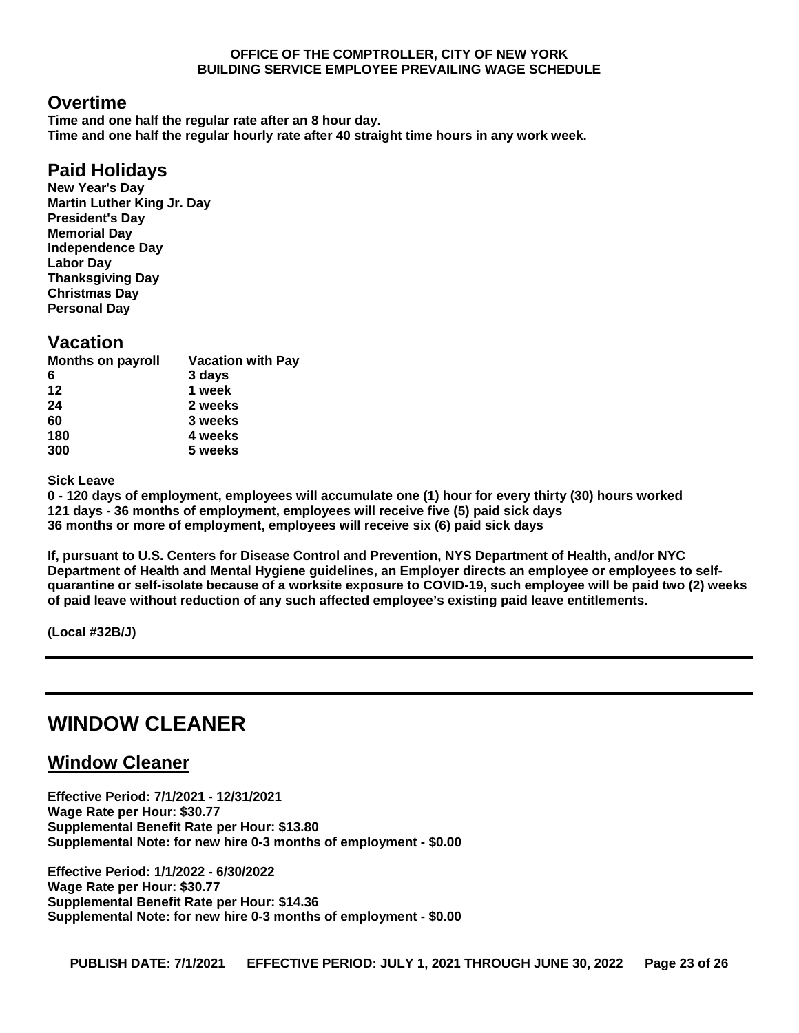## **Overtime**

**Time and one half the regular rate after an 8 hour day. Time and one half the regular hourly rate after 40 straight time hours in any work week.**

## **Paid Holidays**

**New Year's Day Martin Luther King Jr. Day President's Day Memorial Day Independence Day Labor Day Thanksgiving Day Christmas Day Personal Day**

### **Vacation**

| <b>Months on payroll</b> | <b>Vacation with Pay</b> |
|--------------------------|--------------------------|
| 6                        | 3 days                   |
| 12                       | 1 week                   |
| 24                       | 2 weeks                  |
| 60                       | 3 weeks                  |
| 180                      | 4 weeks                  |
| 300                      | 5 weeks                  |
|                          |                          |

**Sick Leave**

**0 - 120 days of employment, employees will accumulate one (1) hour for every thirty (30) hours worked 121 days - 36 months of employment, employees will receive five (5) paid sick days 36 months or more of employment, employees will receive six (6) paid sick days**

**If, pursuant to U.S. Centers for Disease Control and Prevention, NYS Department of Health, and/or NYC Department of Health and Mental Hygiene guidelines, an Employer directs an employee or employees to selfquarantine or self-isolate because of a worksite exposure to COVID-19, such employee will be paid two (2) weeks of paid leave without reduction of any such affected employee's existing paid leave entitlements.**

**(Local #32B/J)**

# <span id="page-22-0"></span>**WINDOW CLEANER**

## **Window Cleaner**

**Effective Period: 7/1/2021 - 12/31/2021 Wage Rate per Hour: \$30.77 Supplemental Benefit Rate per Hour: \$13.80 Supplemental Note: for new hire 0-3 months of employment - \$0.00**

**Effective Period: 1/1/2022 - 6/30/2022 Wage Rate per Hour: \$30.77 Supplemental Benefit Rate per Hour: \$14.36 Supplemental Note: for new hire 0-3 months of employment - \$0.00**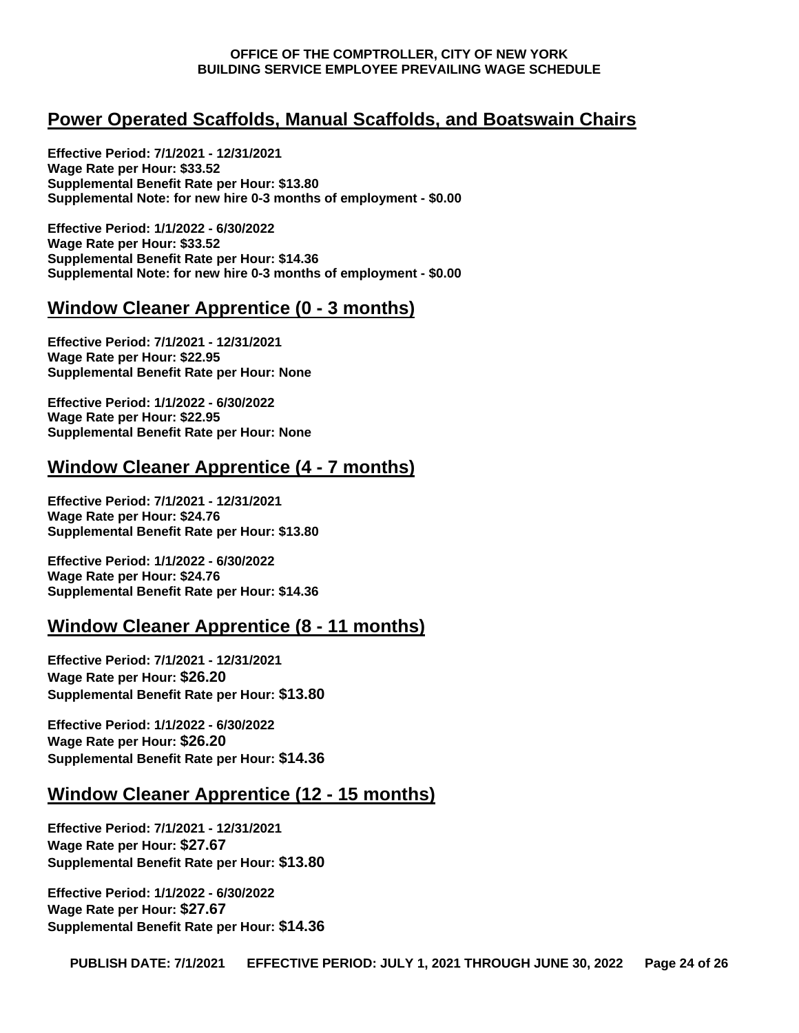## **Power Operated Scaffolds, Manual Scaffolds, and Boatswain Chairs**

**Effective Period: 7/1/2021 - 12/31/2021 Wage Rate per Hour: \$33.52 Supplemental Benefit Rate per Hour: \$13.80 Supplemental Note: for new hire 0-3 months of employment - \$0.00**

**Effective Period: 1/1/2022 - 6/30/2022 Wage Rate per Hour: \$33.52 Supplemental Benefit Rate per Hour: \$14.36 Supplemental Note: for new hire 0-3 months of employment - \$0.00**

### **Window Cleaner Apprentice (0 - 3 months)**

**Effective Period: 7/1/2021 - 12/31/2021 Wage Rate per Hour: \$22.95 Supplemental Benefit Rate per Hour: None** 

**Effective Period: 1/1/2022 - 6/30/2022 Wage Rate per Hour: \$22.95 Supplemental Benefit Rate per Hour: None**

### **Window Cleaner Apprentice (4 - 7 months)**

**Effective Period: 7/1/2021 - 12/31/2021 Wage Rate per Hour: \$24.76 Supplemental Benefit Rate per Hour: \$13.80** 

**Effective Period: 1/1/2022 - 6/30/2022 Wage Rate per Hour: \$24.76 Supplemental Benefit Rate per Hour: \$14.36**

## **Window Cleaner Apprentice (8 - 11 months)**

**Effective Period: 7/1/2021 - 12/31/2021 Wage Rate per Hour: \$26.20 Supplemental Benefit Rate per Hour: \$13.80** 

**Effective Period: 1/1/2022 - 6/30/2022 Wage Rate per Hour: \$26.20 Supplemental Benefit Rate per Hour: \$14.36** 

## **Window Cleaner Apprentice (12 - 15 months)**

**Effective Period: 7/1/2021 - 12/31/2021 Wage Rate per Hour: \$27.67 Supplemental Benefit Rate per Hour: \$13.80** 

**Effective Period: 1/1/2022 - 6/30/2022 Wage Rate per Hour: \$27.67 Supplemental Benefit Rate per Hour: \$14.36**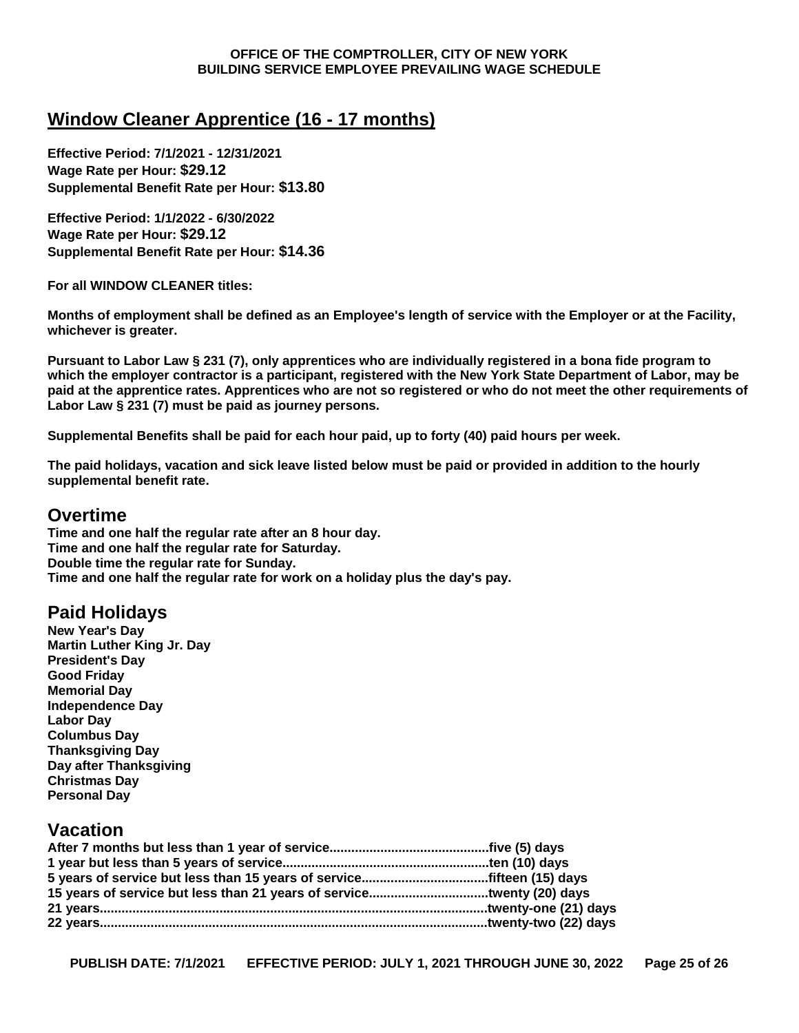## **Window Cleaner Apprentice (16 - 17 months)**

**Effective Period: 7/1/2021 - 12/31/2021 Wage Rate per Hour: \$29.12 Supplemental Benefit Rate per Hour: \$13.80** 

**Effective Period: 1/1/2022 - 6/30/2022 Wage Rate per Hour: \$29.12 Supplemental Benefit Rate per Hour: \$14.36**

**For all WINDOW CLEANER titles:**

**Months of employment shall be defined as an Employee's length of service with the Employer or at the Facility, whichever is greater.**

**Pursuant to Labor Law § 231 (7), only apprentices who are individually registered in a bona fide program to which the employer contractor is a participant, registered with the New York State Department of Labor, may be paid at the apprentice rates. Apprentices who are not so registered or who do not meet the other requirements of Labor Law § 231 (7) must be paid as journey persons.**

**Supplemental Benefits shall be paid for each hour paid, up to forty (40) paid hours per week.**

**The paid holidays, vacation and sick leave listed below must be paid or provided in addition to the hourly supplemental benefit rate.**

### **Overtime**

**Time and one half the regular rate after an 8 hour day. Time and one half the regular rate for Saturday. Double time the regular rate for Sunday. Time and one half the regular rate for work on a holiday plus the day's pay.**

## **Paid Holidays**

**New Year's Day Martin Luther King Jr. Day President's Day Good Friday Memorial Day Independence Day Labor Day Columbus Day Thanksgiving Day Day after Thanksgiving Christmas Day Personal Day**

## **Vacation**